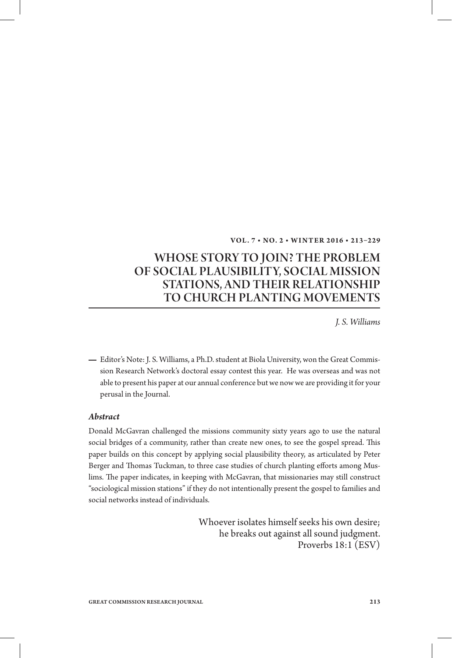#### **VOL. 7 • NO. 2 • WINT ER 2 016 • 213–229**

# WHOSE STORY TO JOIN? THE PROBLEM OF SOCIAL PLAUSIBILITY, SOCIAL MISSION STATIONS, AND THEIR RELATIONSHIP TO CHURCH PLANTING MOVEMENTS

*J. S. Williams*

Editor's Note: J. S. Williams, a Ph.D. student at Biola University, won the Great Commission Research Network's doctoral essay contest this year. He was overseas and was not able to present his paper at our annual conference but we now we are providing it for your perusal in the Journal.

#### *Abstract*

Donald McGavran challenged the missions community sixty years ago to use the natural social bridges of a community, rather than create new ones, to see the gospel spread. This paper builds on this concept by applying social plausibility theory, as articulated by Peter Berger and Thomas Tuckman, to three case studies of church planting efforts among Muslims. The paper indicates, in keeping with McGavran, that missionaries may still construct "sociological mission stations" if they do not intentionally present the gospel to families and social networks instead of individuals.

> Whoever isolates himself seeks his own desire; he breaks out against all sound judgment. Proverbs 18:1 (ESV)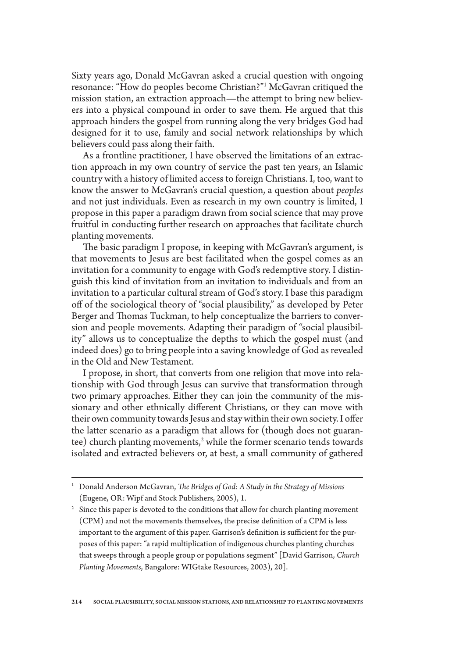Sixty years ago, Donald McGavran asked a crucial question with ongoing resonance: "How do peoples become Christian?"1 McGavran critiqued the mission station, an extraction approach—the attempt to bring new believers into a physical compound in order to save them. He argued that this approach hinders the gospel from running along the very bridges God had designed for it to use, family and social network relationships by which believers could pass along their faith.

As a frontline practitioner, I have observed the limitations of an extraction approach in my own country of service the past ten years, an Islamic country with a history of limited access to foreign Christians. I, too, want to know the answer to McGavran's crucial question, a question about *peoples*  and not just individuals. Even as research in my own country is limited, I propose in this paper a paradigm drawn from social science that may prove fruitful in conducting further research on approaches that facilitate church planting movements.

The basic paradigm I propose, in keeping with McGavran's argument, is that movements to Jesus are best facilitated when the gospel comes as an invitation for a community to engage with God's redemptive story. I distinguish this kind of invitation from an invitation to individuals and from an invitation to a particular cultural stream of God's story. I base this paradigm off of the sociological theory of "social plausibility," as developed by Peter Berger and Thomas Tuckman, to help conceptualize the barriers to conversion and people movements. Adapting their paradigm of "social plausibility" allows us to conceptualize the depths to which the gospel must (and indeed does) go to bring people into a saving knowledge of God as revealed in the Old and New Testament.

I propose, in short, that converts from one religion that move into relationship with God through Jesus can survive that transformation through two primary approaches. Either they can join the community of the missionary and other ethnically different Christians, or they can move with their own community towards Jesus and stay within their own society. I offer the latter scenario as a paradigm that allows for (though does not guarantee) church planting movements,<sup>2</sup> while the former scenario tends towards isolated and extracted believers or, at best, a small community of gathered

<sup>&</sup>lt;sup>1</sup> Donald Anderson McGavran, *The Bridges of God: A Study in the Strategy of Missions* (Eugene, OR: Wipf and Stock Publishers, 2005), 1.

 $2$  Since this paper is devoted to the conditions that allow for church planting movement (CPM) and not the movements themselves, the precise definition of a CPM is less important to the argument of this paper. Garrison's definition is sufficient for the purposes of this paper: "a rapid multiplication of indigenous churches planting churches that sweeps through a people group or populations segment" [David Garrison, *Church Planting Movements*, Bangalore: WIGtake Resources, 2003), 20].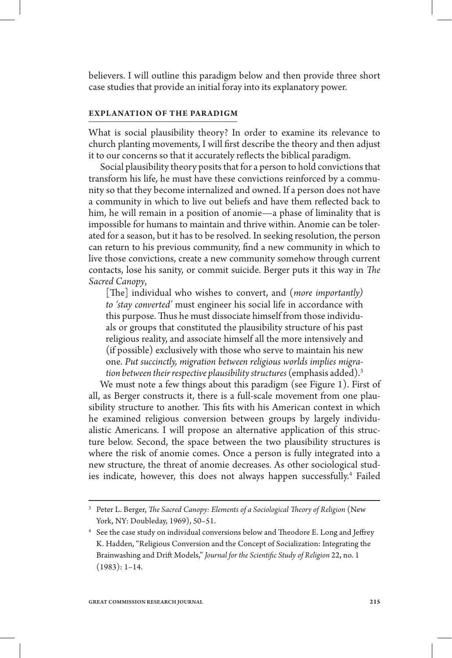believers. I will outline this paradigm below and then provide three short case studies that provide an initial foray into its explanatory power.

### **EXPLANATION OF THE PARADIGM**

What is social plausibility theory? In order to examine its relevance to church planting movements, I will first describe the theory and then adjust it to our concerns so that it accurately reflects the biblical paradigm.

Social plausibility theory posits that for a person to hold convictions that transform his life, he must have these convictions reinforced by a community so that they become internalized and owned. If a person does not have a community in which to live out beliefs and have them reflected back to him, he will remain in a position of anomie—a phase of liminality that is impossible for humans to maintain and thrive within. Anomie can be tolerated for a season, but it has to be resolved. In seeking resolution, the person can return to his previous community, find a new community in which to live those convictions, create a new community somehow through current contacts, lose his sanity, or commit suicide. Berger puts it this way in *The Sacred Canopy*,

[The] individual who wishes to convert, and (*more importantly*) *to 'stay converted'* must engineer his social life in accordance with this purpose. Thus he must dissociate himself from those individuals or groups that constituted the plausibility structure of his past religious reality, and associate himself all the more intensively and (if possible) exclusively with those who serve to maintain his new one. *Put succinctly, migration between religious worlds implies migration between their respective plausibility structures* (emphasis added).3

We must note a few things about this paradigm (see Figure 1). First of all, as Berger constructs it, there is a full-scale movement from one plausibility structure to another. This fits with his American context in which he examined religious conversion between groups by largely individualistic Americans. I will propose an alternative application of this structure below. Second, the space between the two plausibility structures is where the risk of anomie comes. Once a person is fully integrated into a new structure, the threat of anomie decreases. As other sociological studies indicate, however, this does not always happen successfully.<sup>4</sup> Failed

<sup>&</sup>lt;sup>3</sup> Peter L. Berger, *The Sacred Canopy: Elements of a Sociological Theory of Religion (New* York, NY: Doubleday, 1969), 50–51.

 $^4$  See the case study on individual conversions below and Theodore E. Long and Jeffrey K. Hadden, "Religious Conversion and the Concept of Socialization: Integrating the Brainwashing and Drift Models," *Journal for the Scientific Study of Religion 22*, no. 1 (1983): 1–14.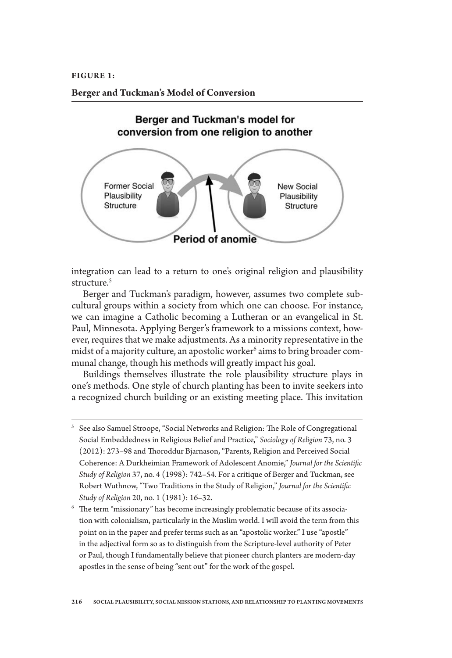# **Berger and Tuckman's Model of Conversion**



integration can lead to a return to one's original religion and plausibility structure.<sup>5</sup>

Berger and Tuckman's paradigm, however, assumes two complete subcultural groups within a society from which one can choose. For instance, we can imagine a Catholic becoming a Lutheran or an evangelical in St. Paul, Minnesota. Applying Berger's framework to a missions context, however, requires that we make adjustments. As a minority representative in the midst of a majority culture, an apostolic worker $\rm^6$  aims to bring broader communal change, though his methods will greatly impact his goal.

Buildings themselves illustrate the role plausibility structure plays in one's methods. One style of church planting has been to invite seekers into a recognized church building or an existing meeting place. This invitation

 $5$  See also Samuel Stroope, "Social Networks and Religion: The Role of Congregational Social Embeddedness in Religious Belief and Practice," *Sociology of Religion* 73, no. 3 (2012): 273-98 and Thoroddur Bjarnason, "Parents, Religion and Perceived Social Coherence: A Durkheimian Framework of Adolescent Anomie," *Journal for the Scientic Study of Religion* 37, no. 4 (1998): 742–54. For a critique of Berger and Tuckman, see Robert Wuthnow, "Two Traditions in the Study of Religion," *Journal for the Scientic Study of Religion* 20, no. 1 (1981): 16–32.

 $6$  The term "missionary" has become increasingly problematic because of its association with colonialism, particularly in the Muslim world. I will avoid the term from this point on in the paper and prefer terms such as an "apostolic worker." I use "apostle" in the adjectival form so as to distinguish from the Scripture-level authority of Peter or Paul, though I fundamentally believe that pioneer church planters are modern-day apostles in the sense of being "sent out" for the work of the gospel.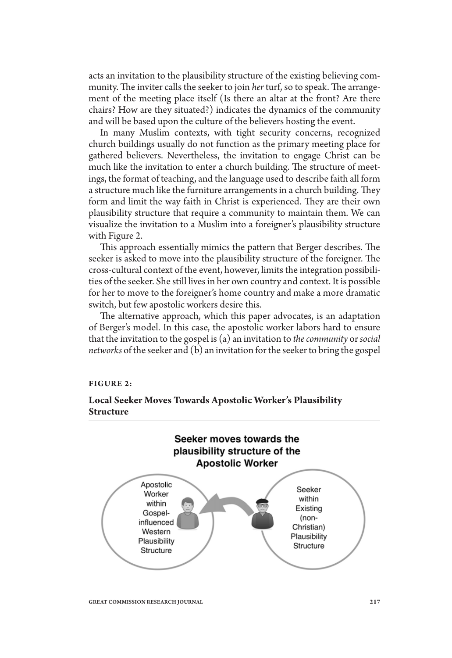acts an invitation to the plausibility structure of the existing believing community. The inviter calls the seeker to join *her* turf, so to speak. The arrangement of the meeting place itself (Is there an altar at the front? Are there chairs? How are they situated?) indicates the dynamics of the community and will be based upon the culture of the believers hosting the event.

In many Muslim contexts, with tight security concerns, recognized church buildings usually do not function as the primary meeting place for gathered believers. Nevertheless, the invitation to engage Christ can be much like the invitation to enter a church building. The structure of meetings, the format of teaching, and the language used to describe faith all form a structure much like the furniture arrangements in a church building. They form and limit the way faith in Christ is experienced. They are their own plausibility structure that require a community to maintain them. We can visualize the invitation to a Muslim into a foreigner's plausibility structure with Figure 2.

This approach essentially mimics the pattern that Berger describes. The seeker is asked to move into the plausibility structure of the foreigner. The cross-cultural context of the event, however, limits the integration possibilities of the seeker. She still lives in her own country and context. It is possible for her to move to the foreigner's home country and make a more dramatic switch, but few apostolic workers desire this.

The alternative approach, which this paper advocates, is an adaptation of Berger's model. In this case, the apostolic worker labors hard to ensure that the invitation to the gospel is (a) an invitation to *the community* or *social networks* of the seeker and (b) an invitation for the seeker to bring the gospel

#### **FIGURE 2:**

# **Local Seeker Moves Towards Apostolic Worker's Plausibility Structure**

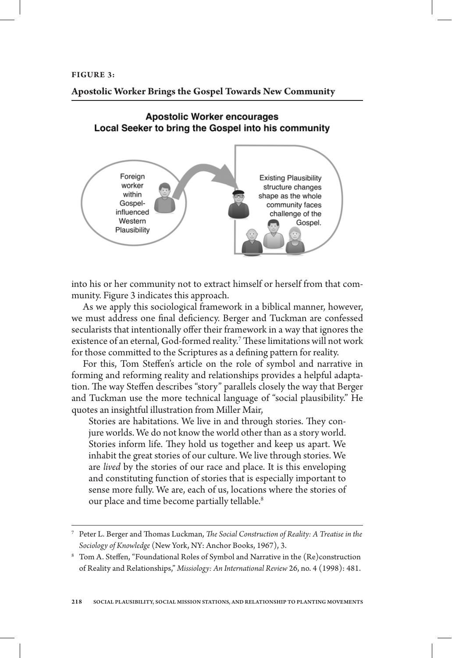# **Apostolic Worker Brings the Gospel Towards New Community**

# **Apostolic Worker encourages** Local Seeker to bring the Gospel into his community



into his or her community not to extract himself or herself from that community. Figure 3 indicates this approach.

As we apply this sociological framework in a biblical manner, however, we must address one final deficiency. Berger and Tuckman are confessed secularists that intentionally offer their framework in a way that ignores the existence of an eternal, God-formed reality.<sup>7</sup> These limitations will not work for those committed to the Scriptures as a defining pattern for reality.

For this, Tom Steffen's article on the role of symbol and narrative in forming and reforming reality and relationships provides a helpful adaptation. The way Steffen describes "story" parallels closely the way that Berger and Tuckman use the more technical language of "social plausibility." He quotes an insightful illustration from Miller Mair,

Stories are habitations. We live in and through stories. They conjure worlds. We do not know the world other than as a story world. Stories inform life. They hold us together and keep us apart. We inhabit the great stories of our culture. We live through stories. We are *lived* by the stories of our race and place. It is this enveloping and constituting function of stories that is especially important to sense more fully. We are, each of us, locations where the stories of our place and time become partially tellable.<sup>8</sup>

<sup>&</sup>lt;sup>7</sup> Peter L. Berger and Thomas Luckman, *The Social Construction of Reality: A Treatise in the Sociology of Knowledge* (New York, NY: Anchor Books, 1967), 3.

 $^8$  Tom A. Steffen, "Foundational Roles of Symbol and Narrative in the (Re)construction of Reality and Relationships," *Missiology: An International Review* 26, no. 4 (1998): 481.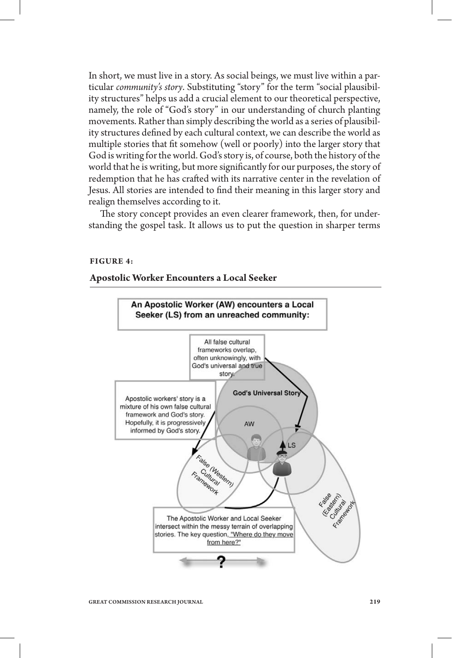In short, we must live in a story. As social beings, we must live within a particular *community's story*. Substituting "story" for the term "social plausibility structures" helps us add a crucial element to our theoretical perspective, namely, the role of "God's story" in our understanding of church planting movements. Rather than simply describing the world as a series of plausibility structures defined by each cultural context, we can describe the world as multiple stories that fit somehow (well or poorly) into the larger story that God is writing for the world. God's story is, of course, both the history of the world that he is writing, but more significantly for our purposes, the story of redemption that he has crafted with its narrative center in the revelation of Jesus. All stories are intended to find their meaning in this larger story and realign themselves according to it.

The story concept provides an even clearer framework, then, for understanding the gospel task. It allows us to put the question in sharper terms

#### **FIGURE 4:**

#### **Apostolic Worker Encounters a Local Seeker**

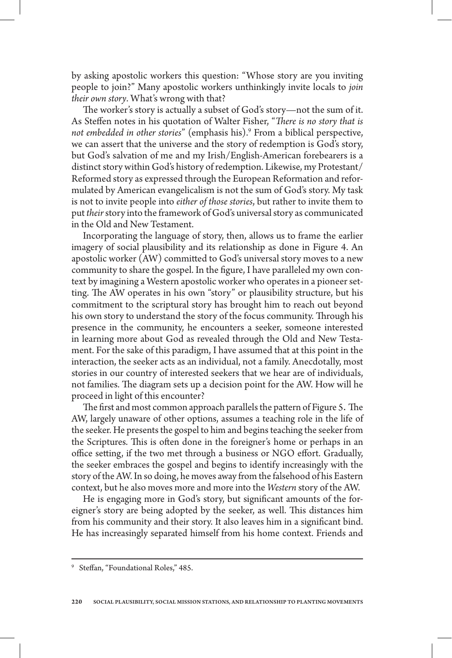by asking apostolic workers this question: "Whose story are you inviting people to join?" Many apostolic workers unthinkingly invite locals to *join their own story*. What's wrong with that?

The worker's story is actually a subset of God's story—not the sum of it. As Steffen notes in his quotation of Walter Fisher, "*There is no story that is not embedded in other stories*" (emphasis his).9 From a biblical perspective, we can assert that the universe and the story of redemption is God's story, but God's salvation of me and my Irish/English-American forebearers is a distinct story within God's history of redemption. Likewise, my Protestant/ Reformed story as expressed through the European Reformation and reformulated by American evangelicalism is not the sum of God's story. My task is not to invite people into *either of those stories*, but rather to invite them to put *their* story into the framework of God's universal story as communicated in the Old and New Testament.

Incorporating the language of story, then, allows us to frame the earlier imagery of social plausibility and its relationship as done in Figure 4. An apostolic worker (AW) committed to God's universal story moves to a new community to share the gospel. In the figure, I have paralleled my own context by imagining a Western apostolic worker who operates in a pioneer setting. The AW operates in his own "story" or plausibility structure, but his commitment to the scriptural story has brought him to reach out beyond his own story to understand the story of the focus community. Through his presence in the community, he encounters a seeker, someone interested in learning more about God as revealed through the Old and New Testament. For the sake of this paradigm, I have assumed that at this point in the interaction, the seeker acts as an individual, not a family. Anecdotally, most stories in our country of interested seekers that we hear are of individuals, not families. The diagram sets up a decision point for the AW. How will he proceed in light of this encounter?

The first and most common approach parallels the pattern of Figure 5. The AW, largely unaware of other options, assumes a teaching role in the life of the seeker. He presents the gospel to him and begins teaching the seeker from the Scriptures. This is often done in the foreigner's home or perhaps in an office setting, if the two met through a business or NGO effort. Gradually, the seeker embraces the gospel and begins to identify increasingly with the story of the AW. In so doing, he moves away from the falsehood of his Eastern context, but he also moves more and more into the *Western* story of the AW.

He is engaging more in God's story, but significant amounts of the foreigner's story are being adopted by the seeker, as well. This distances him from his community and their story. It also leaves him in a significant bind. He has increasingly separated himself from his home context. Friends and

<sup>&</sup>lt;sup>9</sup> Steffan, "Foundational Roles," 485.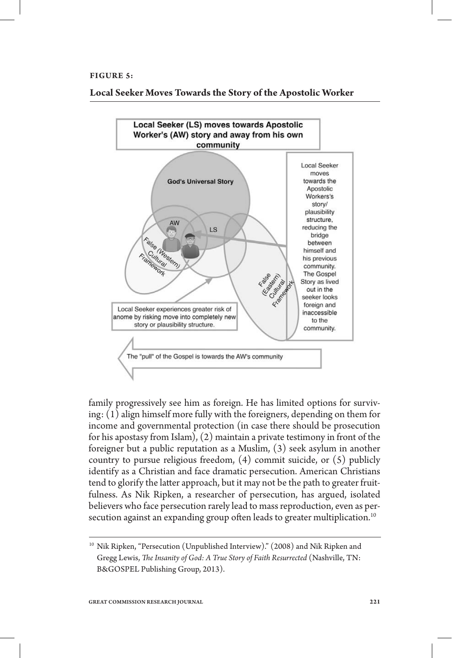#### **FIGURE 5:**

**Local Seeker Moves Towards the Story of the Apostolic Worker**



family progressively see him as foreign. He has limited options for surviving: (1) align himself more fully with the foreigners, depending on them for income and governmental protection (in case there should be prosecution for his apostasy from Islam), (2) maintain a private testimony in front of the foreigner but a public reputation as a Muslim, (3) seek asylum in another country to pursue religious freedom, (4) commit suicide, or (5) publicly identify as a Christian and face dramatic persecution. American Christians tend to glorify the latter approach, but it may not be the path to greater fruitfulness. As Nik Ripken, a researcher of persecution, has argued, isolated believers who face persecution rarely lead to mass reproduction, even as persecution against an expanding group often leads to greater multiplication.<sup>10</sup>

<sup>10</sup> Nik Ripken, "Persecution (Unpublished Interview)." (2008) and Nik Ripken and Gregg Lewis, *The Insanity of God: A True Story of Faith Resurrected* (Nashville, TN: B&GOSPEL Publishing Group, 2013).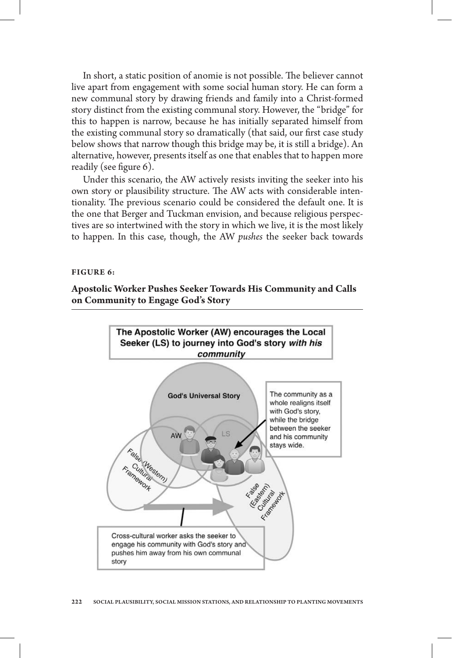In short, a static position of anomie is not possible. The believer cannot live apart from engagement with some social human story. He can form a new communal story by drawing friends and family into a Christ-formed story distinct from the existing communal story. However, the "bridge" for this to happen is narrow, because he has initially separated himself from the existing communal story so dramatically (that said, our first case study below shows that narrow though this bridge may be, it is still a bridge). An alternative, however, presents itself as one that enables that to happen more readily (see figure  $6$ ).

Under this scenario, the AW actively resists inviting the seeker into his own story or plausibility structure. The AW acts with considerable intentionality. The previous scenario could be considered the default one. It is the one that Berger and Tuckman envision, and because religious perspectives are so intertwined with the story in which we live, it is the most likely to happen. In this case, though, the AW *pushes* the seeker back towards

#### **FIGURE 6:**

**Apostolic Worker Pushes Seeker Towards His Community and Calls on Community to Engage God's Story**

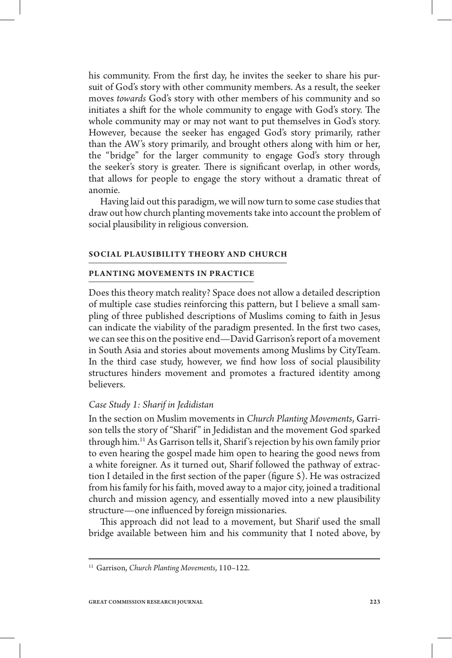his community. From the first day, he invites the seeker to share his pursuit of God's story with other community members. As a result, the seeker moves *towards* God's story with other members of his community and so initiates a shift for the whole community to engage with God's story. The whole community may or may not want to put themselves in God's story. However, because the seeker has engaged God's story primarily, rather than the AW's story primarily, and brought others along with him or her, the "bridge" for the larger community to engage God's story through the seeker's story is greater. There is significant overlap, in other words, that allows for people to engage the story without a dramatic threat of anomie.

Having laid out this paradigm, we will now turn to some case studies that draw out how church planting movements take into account the problem of social plausibility in religious conversion.

#### **SOCIAL PLAUSIBILITY THEORY AND CHURCH**

#### **PLANTING MOVEMENTS IN PRACTICE**

Does this theory match reality? Space does not allow a detailed description of multiple case studies reinforcing this pattern, but I believe a small sampling of three published descriptions of Muslims coming to faith in Jesus can indicate the viability of the paradigm presented. In the first two cases, we can see this on the positive end—David Garrison's report of a movement in South Asia and stories about movements among Muslims by CityTeam. In the third case study, however, we find how loss of social plausibility structures hinders movement and promotes a fractured identity among believers.

## *Case Study 1: Sharif in Jedidistan*

In the section on Muslim movements in *Church Planting Movements*, Garrison tells the story of "Sharif" in Jedidistan and the movement God sparked through him.11 As Garrison tells it, Sharif 's rejection by his own family prior to even hearing the gospel made him open to hearing the good news from a white foreigner. As it turned out, Sharif followed the pathway of extraction I detailed in the first section of the paper (figure 5). He was ostracized from his family for his faith, moved away to a major city, joined a traditional church and mission agency, and essentially moved into a new plausibility structure—one influenced by foreign missionaries.

This approach did not lead to a movement, but Sharif used the small bridge available between him and his community that I noted above, by

<sup>11</sup> Garrison, *Church Planting Movements*, 110–122.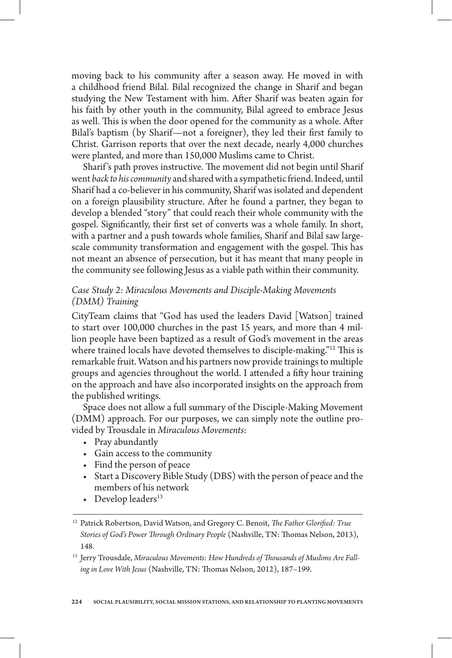moving back to his community after a season away. He moved in with a childhood friend Bilal. Bilal recognized the change in Sharif and began studying the New Testament with him. After Sharif was beaten again for his faith by other youth in the community, Bilal agreed to embrace Jesus as well. This is when the door opened for the community as a whole. After Bilal's baptism (by Sharif—not a foreigner), they led their first family to Christ. Garrison reports that over the next decade, nearly 4,000 churches were planted, and more than 150,000 Muslims came to Christ.

Sharif's path proves instructive. The movement did not begin until Sharif went *back to his community* and shared with a sympathetic friend. Indeed, until Sharif had a co-believer in his community, Sharif was isolated and dependent on a foreign plausibility structure. After he found a partner, they began to develop a blended "story" that could reach their whole community with the gospel. Significantly, their first set of converts was a whole family. In short, with a partner and a push towards whole families, Sharif and Bilal saw largescale community transformation and engagement with the gospel. This has not meant an absence of persecution, but it has meant that many people in the community see following Jesus as a viable path within their community.

# *Case Study 2: Miraculous Movements and Disciple-Making Movements (DMM) Training*

CityTeam claims that "God has used the leaders David [Watson] trained to start over 100,000 churches in the past 15 years, and more than 4 million people have been baptized as a result of God's movement in the areas where trained locals have devoted themselves to disciple-making."<sup>12</sup> This is remarkable fruit. Watson and his partners now provide trainings to multiple groups and agencies throughout the world. I attended a fifty hour training on the approach and have also incorporated insights on the approach from the published writings.

Space does not allow a full summary of the Disciple-Making Movement (DMM) approach. For our purposes, we can simply note the outline provided by Trousdale in *Miraculous Movements*:

- Pray abundantly
- • Gain access to the community
- • Find the person of peace
- • Start a Discovery Bible Study (DBS) with the person of peace and the members of his network
- Develop leaders $^{13}$

<sup>13</sup> Jerry Trousdale, Miraculous Movements: How Hundreds of Thousands of Muslims Are Falling in Love With Jesus (Nashville, TN: Thomas Nelson, 2012), 187-199.

<sup>&</sup>lt;sup>12</sup> Patrick Robertson, David Watson, and Gregory C. Benoit, *The Father Glorified: True Stories of God's Power Through Ordinary People* (Nashville, TN: Thomas Nelson, 2013), 148.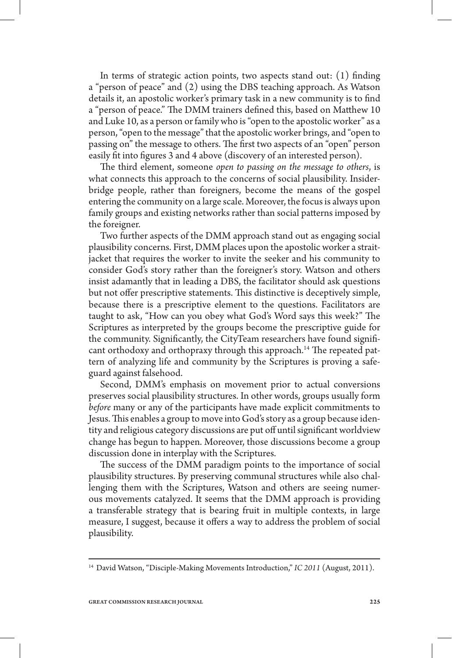In terms of strategic action points, two aspects stand out:  $(1)$  finding a "person of peace" and (2) using the DBS teaching approach. As Watson details it, an apostolic worker's primary task in a new community is to find a "person of peace." The DMM trainers defined this, based on Matthew 10 and Luke 10, as a person or family who is "open to the apostolic worker" as a person, "open to the message" that the apostolic worker brings, and "open to passing on" the message to others. The first two aspects of an "open" person easily fit into figures 3 and 4 above (discovery of an interested person).

e third element, someone *open to passing on the message to others*, is what connects this approach to the concerns of social plausibility. Insiderbridge people, rather than foreigners, become the means of the gospel entering the community on a large scale. Moreover, the focus is always upon family groups and existing networks rather than social patterns imposed by the foreigner.

Two further aspects of the DMM approach stand out as engaging social plausibility concerns. First, DMM places upon the apostolic worker a straitjacket that requires the worker to invite the seeker and his community to consider God's story rather than the foreigner's story. Watson and others insist adamantly that in leading a DBS, the facilitator should ask questions but not offer prescriptive statements. This distinctive is deceptively simple, because there is a prescriptive element to the questions. Facilitators are taught to ask, "How can you obey what God's Word says this week?" The Scriptures as interpreted by the groups become the prescriptive guide for the community. Significantly, the CityTeam researchers have found significant orthodoxy and orthopraxy through this approach.<sup>14</sup> The repeated pattern of analyzing life and community by the Scriptures is proving a safeguard against falsehood.

Second, DMM's emphasis on movement prior to actual conversions preserves social plausibility structures. In other words, groups usually form *before* many or any of the participants have made explicit commitments to Jesus. This enables a group to move into God's story as a group because identity and religious category discussions are put off until significant worldview change has begun to happen. Moreover, those discussions become a group discussion done in interplay with the Scriptures.

The success of the DMM paradigm points to the importance of social plausibility structures. By preserving communal structures while also challenging them with the Scriptures, Watson and others are seeing numerous movements catalyzed. It seems that the DMM approach is providing a transferable strategy that is bearing fruit in multiple contexts, in large measure, I suggest, because it offers a way to address the problem of social plausibility.

<sup>&</sup>lt;sup>14</sup> David Watson, "Disciple-Making Movements Introduction," IC 2011 (August, 2011).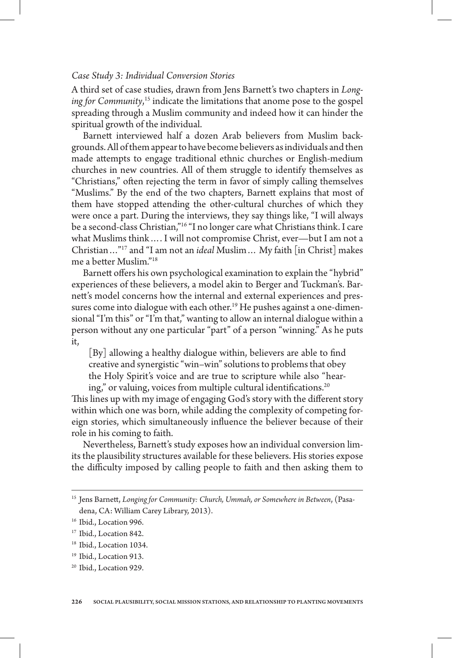# *Case Study 3: Individual Conversion Stories*

A third set of case studies, drawn from Jens Barnett's two chapters in *Longing for Community*, 15 indicate the limitations that anome pose to the gospel spreading through a Muslim community and indeed how it can hinder the spiritual growth of the individual.

Barnett interviewed half a dozen Arab believers from Muslim backgrounds. All of them appear to have become believers as individuals and then made attempts to engage traditional ethnic churches or English-medium churches in new countries. All of them struggle to identify themselves as "Christians," often rejecting the term in favor of simply calling themselves "Muslims." By the end of the two chapters, Barnett explains that most of them have stopped attending the other-cultural churches of which they were once a part. During the interviews, they say things like, "I will always be a second-class Christian,"16 "I no longer care what Christians think. I care what Muslims think…. I will not compromise Christ, ever—but I am not a Christian…"17 and "I am not an *ideal* Muslim… My faith [in Christ] makes me a better Muslim."<sup>18</sup>

Barnett offers his own psychological examination to explain the "hybrid" experiences of these believers, a model akin to Berger and Tuckman's. Barnett's model concerns how the internal and external experiences and pressures come into dialogue with each other.<sup>19</sup> He pushes against a one-dimensional "I'm this" or "I'm that," wanting to allow an internal dialogue within a person without any one particular "part" of a person "winning." As he puts it,

 $[y]$  allowing a healthy dialogue within, believers are able to find creative and synergistic "win–win" solutions to problems that obey the Holy Spirit's voice and are true to scripture while also "hearing," or valuing, voices from multiple cultural identifications. $20$ 

This lines up with my image of engaging God's story with the different story within which one was born, while adding the complexity of competing foreign stories, which simultaneously influence the believer because of their role in his coming to faith.

Nevertheless, Barnett's study exposes how an individual conversion limits the plausibility structures available for these believers. His stories expose the difficulty imposed by calling people to faith and then asking them to

<sup>20</sup> Ibid., Location 929.

<sup>&</sup>lt;sup>15</sup> Jens Barnett, Longing for Community: Church, Ummah, or Somewhere in Between, (Pasadena, CA: William Carey Library, 2013).

<sup>&</sup>lt;sup>16</sup> Ibid., Location 996.

<sup>&</sup>lt;sup>17</sup> Ibid., Location 842.

<sup>&</sup>lt;sup>18</sup> Ibid., Location 1034.

<sup>&</sup>lt;sup>19</sup> Ibid., Location 913.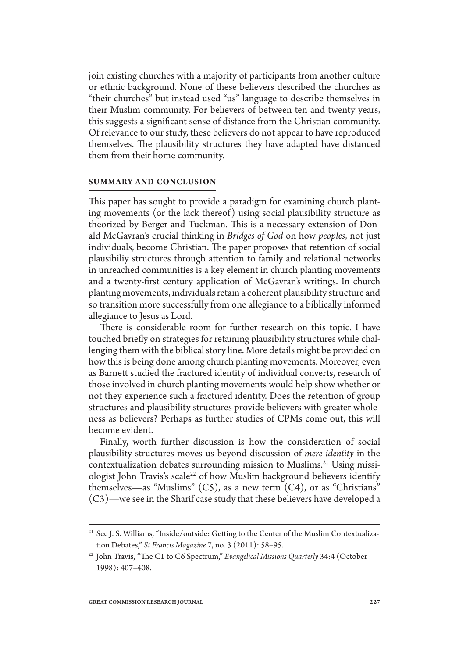join existing churches with a majority of participants from another culture or ethnic background. None of these believers described the churches as "their churches" but instead used "us" language to describe themselves in their Muslim community. For believers of between ten and twenty years, this suggests a significant sense of distance from the Christian community. Of relevance to our study, these believers do not appear to have reproduced themselves. The plausibility structures they have adapted have distanced them from their home community.

### **SUMMARY AND CONCLUSION**

This paper has sought to provide a paradigm for examining church planting movements (or the lack thereof) using social plausibility structure as theorized by Berger and Tuckman. This is a necessary extension of Donald McGavran's crucial thinking in *Bridges of God* on how *peoples*, not just individuals, become Christian. The paper proposes that retention of social plausibiliy structures through attention to family and relational networks in unreached communities is a key element in church planting movements and a twenty-first century application of McGavran's writings. In church planting movements, individuals retain a coherent plausibility structure and so transition more successfully from one allegiance to a biblically informed allegiance to Jesus as Lord.

There is considerable room for further research on this topic. I have touched briefly on strategies for retaining plausibility structures while challenging them with the biblical story line. More details might be provided on how this is being done among church planting movements. Moreover, even as Barnett studied the fractured identity of individual converts, research of those involved in church planting movements would help show whether or not they experience such a fractured identity. Does the retention of group structures and plausibility structures provide believers with greater wholeness as believers? Perhaps as further studies of CPMs come out, this will become evident.

Finally, worth further discussion is how the consideration of social plausibility structures moves us beyond discussion of *mere identity* in the contextualization debates surrounding mission to Muslims.<sup>21</sup> Using missiologist John Travis's scale<sup>22</sup> of how Muslim background believers identify themselves—as "Muslims"  $(C5)$ , as a new term  $(C4)$ , or as "Christians" (C3)—we see in the Sharif case study that these believers have developed a

<sup>&</sup>lt;sup>21</sup> See J. S. Williams, "Inside/outside: Getting to the Center of the Muslim Contextualization Debates," *St Francis Magazine* 7, no. 3 (2011): 58–95.

<sup>&</sup>lt;sup>22</sup> John Travis, "The C1 to C6 Spectrum," *Evangelical Missions Quarterly* 34:4 (October 1998): 407–408.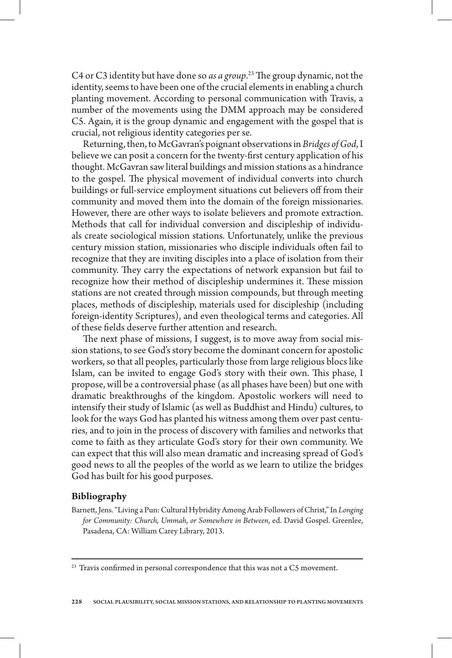C4 or C3 identity but have done so *as a group*.<sup>23</sup> The group dynamic, not the identity, seems to have been one of the crucial elements in enabling a church planting movement. According to personal communication with Travis, a number of the movements using the DMM approach may be considered C5. Again, it is the group dynamic and engagement with the gospel that is crucial, not religious identity categories per se.

Returning, then, to McGavran's poignant observations in *Bridges of God*, I believe we can posit a concern for the twenty-first century application of his thought. McGavran saw literal buildings and mission stations as a hindrance to the gospel. The physical movement of individual converts into church buildings or full-service employment situations cut believers off from their community and moved them into the domain of the foreign missionaries. However, there are other ways to isolate believers and promote extraction. Methods that call for individual conversion and discipleship of individuals create sociological mission stations. Unfortunately, unlike the previous century mission station, missionaries who disciple individuals often fail to recognize that they are inviting disciples into a place of isolation from their community. They carry the expectations of network expansion but fail to recognize how their method of discipleship undermines it. These mission stations are not created through mission compounds, but through meeting places, methods of discipleship, materials used for discipleship (including foreign-identity Scriptures), and even theological terms and categories. All of these fields deserve further attention and research.

The next phase of missions, I suggest, is to move away from social mission stations, to see God's story become the dominant concern for apostolic workers, so that all peoples, particularly those from large religious blocs like Islam, can be invited to engage God's story with their own. This phase, I propose, will be a controversial phase (as all phases have been) but one with dramatic breakthroughs of the kingdom. Apostolic workers will need to intensify their study of Islamic (as well as Buddhist and Hindu) cultures, to look for the ways God has planted his witness among them over past centuries, and to join in the process of discovery with families and networks that come to faith as they articulate God's story for their own community. We can expect that this will also mean dramatic and increasing spread of God's good news to all the peoples of the world as we learn to utilize the bridges God has built for his good purposes.

## **Bibliography**

Barnett, Jens. "Living a Pun: Cultural Hybridity Among Arab Followers of Christ," In *Longing for Community: Church, Ummah, or Somewhere in Between*, ed. David Gospel. Greenlee, Pasadena, CA: William Carey Library, 2013.

 $23$  Travis confirmed in personal correspondence that this was not a C5 movement.